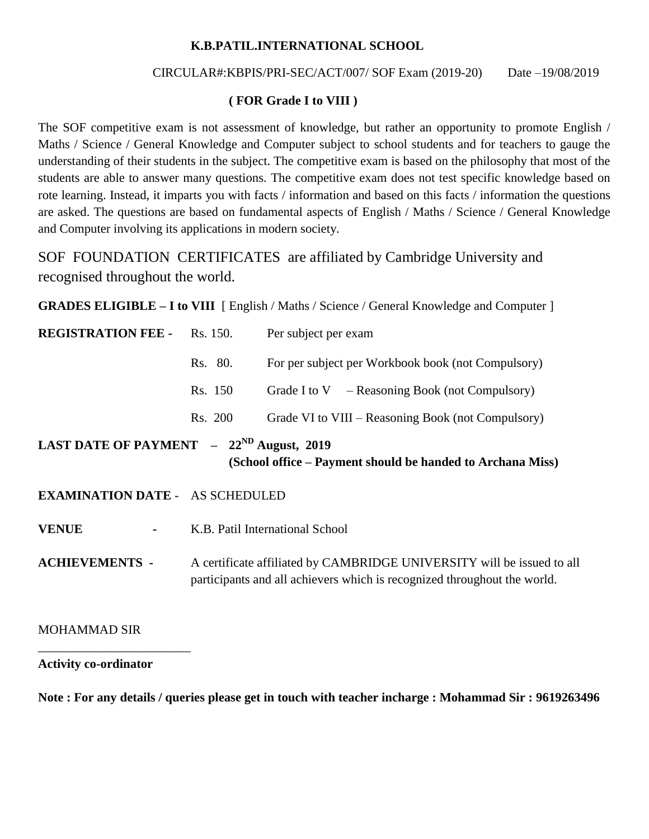## **K.B.PATIL.INTERNATIONAL SCHOOL**

## CIRCULAR#:KBPIS/PRI-SEC/ACT/007/ SOF Exam (2019-20) Date –19/08/2019

## **( FOR Grade I to VIII )**

The SOF competitive exam is not assessment of knowledge, but rather an opportunity to promote English / Maths / Science / General Knowledge and Computer subject to school students and for teachers to gauge the understanding of their students in the subject. The competitive exam is based on the philosophy that most of the students are able to answer many questions. The competitive exam does not test specific knowledge based on rote learning. Instead, it imparts you with facts / information and based on this facts / information the questions are asked. The questions are based on fundamental aspects of English / Maths / Science / General Knowledge and Computer involving its applications in modern society.

SOF FOUNDATION CERTIFICATES are affiliated by Cambridge University and recognised throughout the world.

**GRADES ELIGIBLE – I to VIII** [ English / Maths / Science / General Knowledge and Computer ]

| <b>REGISTRATION FEE -</b>                    | Rs. 150.                                                                                                                                           | Per subject per exam                                       |  |  |  |
|----------------------------------------------|----------------------------------------------------------------------------------------------------------------------------------------------------|------------------------------------------------------------|--|--|--|
|                                              | Rs. 80.                                                                                                                                            | For per subject per Workbook book (not Compulsory)         |  |  |  |
|                                              | Rs. 150                                                                                                                                            | Grade I to $V$ – Reasoning Book (not Compulsory)           |  |  |  |
|                                              | Rs. 200                                                                                                                                            | Grade VI to VIII – Reasoning Book (not Compulsory)         |  |  |  |
| LAST DATE OF PAYMENT $-22^{ND}$ August, 2019 |                                                                                                                                                    | (School office – Payment should be handed to Archana Miss) |  |  |  |
| <b>EXAMINATION DATE - AS SCHEDULED</b>       |                                                                                                                                                    |                                                            |  |  |  |
| <b>VENUE</b>                                 | K.B. Patil International School                                                                                                                    |                                                            |  |  |  |
| <b>ACHIEVEMENTS -</b>                        | A certificate affiliated by CAMBRIDGE UNIVERSITY will be issued to all<br>participants and all achievers which is recognized throughout the world. |                                                            |  |  |  |
| <b>MOHAMMAD SIR</b>                          |                                                                                                                                                    |                                                            |  |  |  |

\_\_\_\_\_\_\_\_\_\_\_\_\_\_\_\_\_\_\_\_\_\_\_\_

**Activity co-ordinator** 

**Note : For any details / queries please get in touch with teacher incharge : Mohammad Sir : 9619263496**